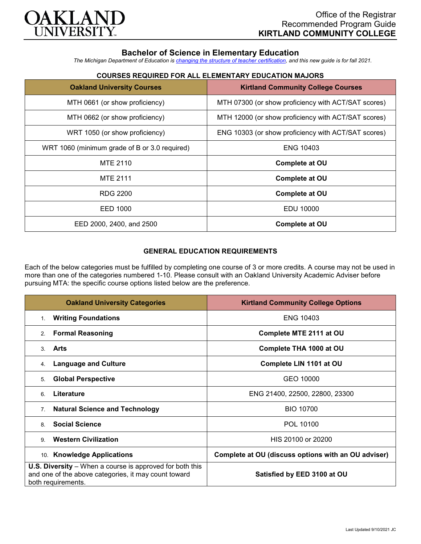

# **Bachelor of Science in Elementary Education**

*The Michigan Department of Education is [changing the structure of teacher certification,](https://docs.google.com/document/d/1W1uUK14Njx6WAB56T4jHbat65OZyg6TS04LdNWMXEcI/edit) and this new guide is for fall 2021.*

## **COURSES REQUIRED FOR ALL ELEMENTARY EDUCATION MAJORS**

| <b>Oakland University Courses</b>             | <b>Kirtland Community College Courses</b>           |
|-----------------------------------------------|-----------------------------------------------------|
| MTH 0661 (or show proficiency)                | MTH 07300 (or show proficiency with ACT/SAT scores) |
| MTH 0662 (or show proficiency)                | MTH 12000 (or show proficiency with ACT/SAT scores) |
| WRT 1050 (or show proficiency)                | ENG 10303 (or show proficiency with ACT/SAT scores) |
| WRT 1060 (minimum grade of B or 3.0 required) | <b>ENG 10403</b>                                    |
| MTE 2110                                      | Complete at OU                                      |
| <b>MTE 2111</b>                               | <b>Complete at OU</b>                               |
| RDG 2200                                      | Complete at OU                                      |
| EED 1000                                      | EDU 10000                                           |
| EED 2000, 2400, and 2500                      | <b>Complete at OU</b>                               |

### **GENERAL EDUCATION REQUIREMENTS**

Each of the below categories must be fulfilled by completing one course of 3 or more credits. A course may not be used in more than one of the categories numbered 1-10. Please consult with an Oakland University Academic Adviser before pursuing MTA: the specific course options listed below are the preference.

| <b>Oakland University Categories</b>                                                                                                          | <b>Kirtland Community College Options</b>           |
|-----------------------------------------------------------------------------------------------------------------------------------------------|-----------------------------------------------------|
| <b>Writing Foundations</b><br>1 <sub>1</sub>                                                                                                  | <b>ENG 10403</b>                                    |
| <b>Formal Reasoning</b><br>2.                                                                                                                 | Complete MTE 2111 at OU                             |
| Arts<br>3.                                                                                                                                    | Complete THA 1000 at OU                             |
| <b>Language and Culture</b><br>4.                                                                                                             | Complete LIN 1101 at OU                             |
| <b>Global Perspective</b><br>5.                                                                                                               | GEO 10000                                           |
| Literature<br>6.                                                                                                                              | ENG 21400, 22500, 22800, 23300                      |
| <b>Natural Science and Technology</b><br>7.                                                                                                   | <b>BIO 10700</b>                                    |
| <b>Social Science</b><br>8                                                                                                                    | POL 10100                                           |
| <b>Western Civilization</b><br>9                                                                                                              | HIS 20100 or 20200                                  |
| 10. Knowledge Applications                                                                                                                    | Complete at OU (discuss options with an OU adviser) |
| <b>U.S. Diversity</b> – When a course is approved for both this<br>and one of the above categories, it may count toward<br>both requirements. | Satisfied by EED 3100 at OU                         |